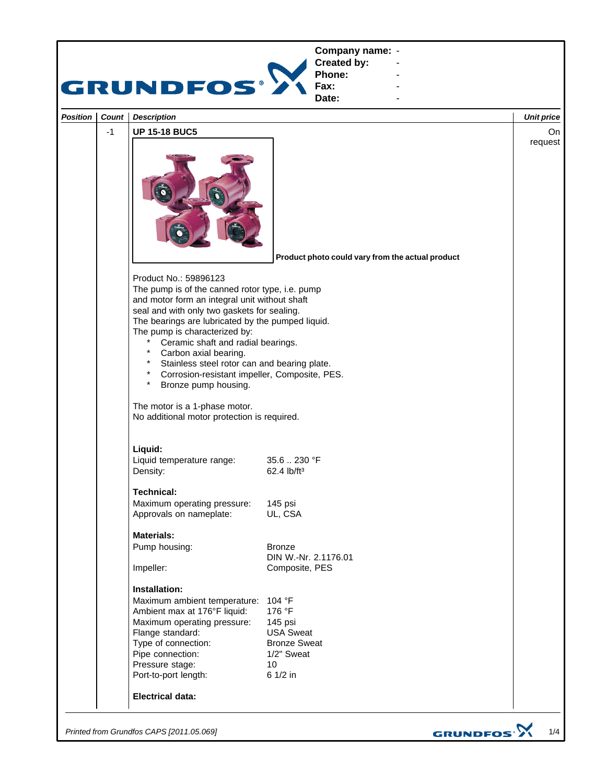

*Printed from Grundfos CAPS [2011.05.069]*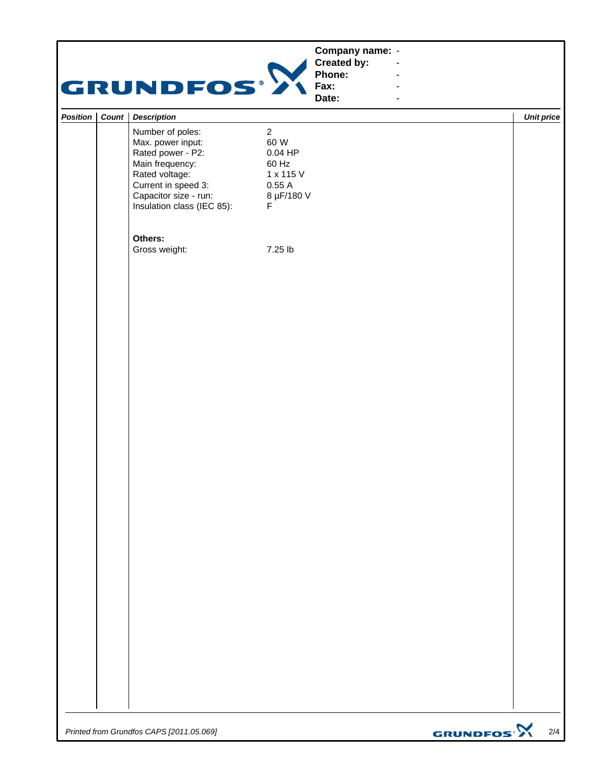|                  | GRUNDFOS®                                                                                                                                                                     |                                                                                       | Company name: -<br><b>Created by:</b><br>Phone:<br>Fax:<br>Date: | $\overline{\phantom{a}}$<br>$\blacksquare$ |                              |
|------------------|-------------------------------------------------------------------------------------------------------------------------------------------------------------------------------|---------------------------------------------------------------------------------------|------------------------------------------------------------------|--------------------------------------------|------------------------------|
| Position   Count | <b>Description</b>                                                                                                                                                            |                                                                                       |                                                                  |                                            | <b>Unit price</b>            |
|                  | Number of poles:<br>Max. power input:<br>Rated power - P2:<br>Main frequency:<br>Rated voltage:<br>Current in speed 3:<br>Capacitor size - run:<br>Insulation class (IEC 85): | $\overline{2}$<br>60 W<br>$0.04$ HP<br>60 Hz<br>1 x 115 V<br>0.55A<br>8 µF/180 V<br>F |                                                                  |                                            |                              |
|                  | Others:<br>Gross weight:                                                                                                                                                      | 7.25 lb                                                                               |                                                                  |                                            |                              |
|                  |                                                                                                                                                                               |                                                                                       |                                                                  |                                            |                              |
|                  |                                                                                                                                                                               |                                                                                       |                                                                  |                                            |                              |
|                  |                                                                                                                                                                               |                                                                                       |                                                                  |                                            |                              |
|                  |                                                                                                                                                                               |                                                                                       |                                                                  |                                            |                              |
|                  |                                                                                                                                                                               |                                                                                       |                                                                  |                                            |                              |
|                  |                                                                                                                                                                               |                                                                                       |                                                                  |                                            |                              |
|                  |                                                                                                                                                                               |                                                                                       |                                                                  |                                            |                              |
|                  | Printed from Grundfos CAPS [2011.05.069]                                                                                                                                      |                                                                                       |                                                                  |                                            | GRUNDFOS <sup>.</sup><br>2/4 |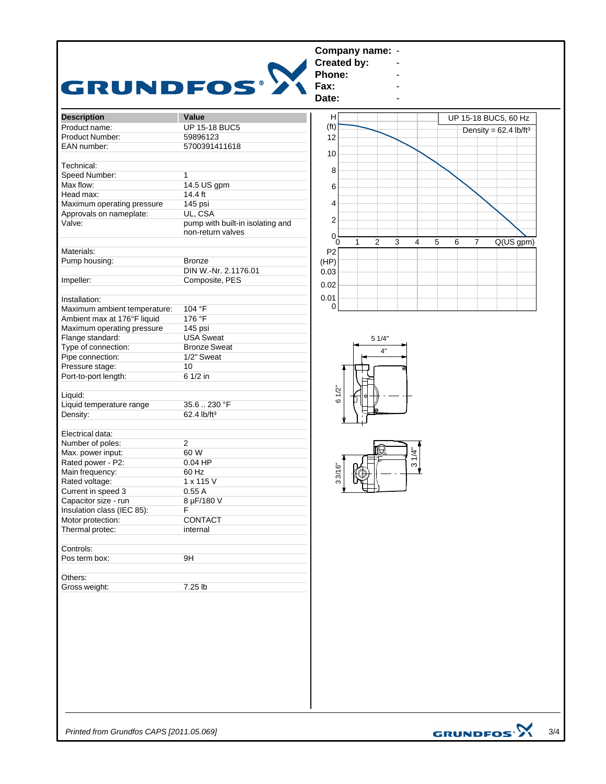

*Printed from Grundfos CAPS [2011.05.069]*

**GRUNDFOS<sup>.</sup>X**